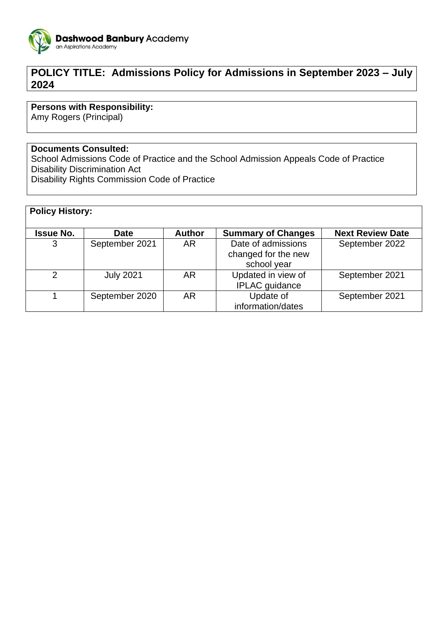

# **POLICY TITLE: Admissions Policy for Admissions in September 2023 – July 2024**

## **Persons with Responsibility:**

Amy Rogers (Principal)

#### **Documents Consulted:**

School Admissions Code of Practice and the School Admission Appeals Code of Practice Disability Discrimination Act Disability Rights Commission Code of Practice

| <b>Policy History:</b> |                  |               |                                                          |                         |
|------------------------|------------------|---------------|----------------------------------------------------------|-------------------------|
| <b>Issue No.</b>       | <b>Date</b>      | <b>Author</b> | <b>Summary of Changes</b>                                | <b>Next Review Date</b> |
| 3                      | September 2021   | <b>AR</b>     | Date of admissions<br>changed for the new<br>school year | September 2022          |
| $\mathcal{P}$          | <b>July 2021</b> | AR            | Updated in view of<br><b>IPLAC</b> guidance              | September 2021          |
|                        | September 2020   | AR            | Update of<br>information/dates                           | September 2021          |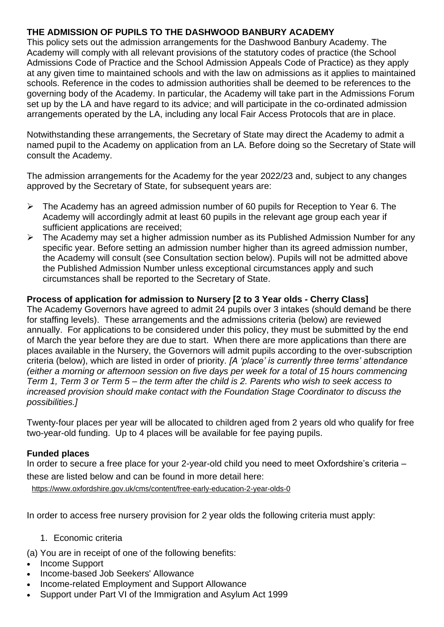## **THE ADMISSION OF PUPILS TO THE DASHWOOD BANBURY ACADEMY**

This policy sets out the admission arrangements for the Dashwood Banbury Academy. The Academy will comply with all relevant provisions of the statutory codes of practice (the School Admissions Code of Practice and the School Admission Appeals Code of Practice) as they apply at any given time to maintained schools and with the law on admissions as it applies to maintained schools. Reference in the codes to admission authorities shall be deemed to be references to the governing body of the Academy. In particular, the Academy will take part in the Admissions Forum set up by the LA and have regard to its advice; and will participate in the co-ordinated admission arrangements operated by the LA, including any local Fair Access Protocols that are in place.

Notwithstanding these arrangements, the Secretary of State may direct the Academy to admit a named pupil to the Academy on application from an LA. Before doing so the Secretary of State will consult the Academy.

The admission arrangements for the Academy for the year 2022/23 and, subject to any changes approved by the Secretary of State, for subsequent years are:

- $\triangleright$  The Academy has an agreed admission number of 60 pupils for Reception to Year 6. The Academy will accordingly admit at least 60 pupils in the relevant age group each year if sufficient applications are received;
- $\triangleright$  The Academy may set a higher admission number as its Published Admission Number for any specific year. Before setting an admission number higher than its agreed admission number, the Academy will consult (see Consultation section below). Pupils will not be admitted above the Published Admission Number unless exceptional circumstances apply and such circumstances shall be reported to the Secretary of State.

## **Process of application for admission to Nursery [2 to 3 Year olds - Cherry Class]**

The Academy Governors have agreed to admit 24 pupils over 3 intakes (should demand be there for staffing levels). These arrangements and the admissions criteria (below) are reviewed annually. For applications to be considered under this policy, they must be submitted by the end of March the year before they are due to start. When there are more applications than there are places available in the Nursery, the Governors will admit pupils according to the over-subscription criteria (below), which are listed in order of priority. *[A 'place' is currently three terms' attendance (either a morning or afternoon session on five days per week for a total of 15 hours commencing Term 1, Term 3 or Term 5 – the term after the child is 2. Parents who wish to seek access to increased provision should make contact with the Foundation Stage Coordinator to discuss the possibilities.]*

Twenty-four places per year will be allocated to children aged from 2 years old who qualify for free two-year-old funding. Up to 4 places will be available for fee paying pupils.

## **Funded places**

In order to secure a free place for your 2-year-old child you need to meet Oxfordshire's criteria – these are listed below and can be found in more detail here:

<https://www.oxfordshire.gov.uk/cms/content/free-early-education-2-year-olds-0>

In order to access free nursery provision for 2 year olds the following criteria must apply:

## 1. Economic criteria

(a) You are in receipt of one of the following benefits:

- Income Support
- Income-based Job Seekers' Allowance
- Income-related Employment and Support Allowance
- Support under Part VI of the Immigration and Asylum Act 1999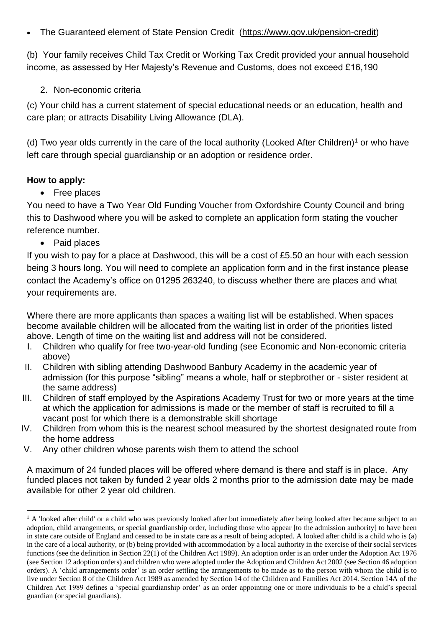• The Guaranteed element of State Pension Credit [\(https://www.gov.uk/pension-credit\)](https://www.gov.uk/pension-credit)

(b) Your family receives Child Tax Credit or Working Tax Credit provided your annual household income, as assessed by Her Majesty's Revenue and Customs, does not exceed £16,190

2. Non-economic criteria

(c) Your child has a current statement of special educational needs or an education, health and care plan; or attracts Disability Living Allowance (DLA).

(d) Two year olds currently in the care of the local authority (Looked After Children)<sup>1</sup> or who have left care through special guardianship or an adoption or residence order.

## **How to apply:**

• Free places

You need to have a Two Year Old Funding Voucher from Oxfordshire County Council and bring this to Dashwood where you will be asked to complete an application form stating the voucher reference number.

• Paid places

If you wish to pay for a place at Dashwood, this will be a cost of £5.50 an hour with each session being 3 hours long. You will need to complete an application form and in the first instance please contact the Academy's office on 01295 263240, to discuss whether there are places and what your requirements are.

Where there are more applicants than spaces a waiting list will be established. When spaces become available children will be allocated from the waiting list in order of the priorities listed above. Length of time on the waiting list and address will not be considered.

- I. Children who qualify for free two-year-old funding (see Economic and Non-economic criteria above)
- II. Children with sibling attending Dashwood Banbury Academy in the academic year of admission (for this purpose "sibling" means a whole, half or stepbrother or - sister resident at the same address)
- III. Children of staff employed by the Aspirations Academy Trust for two or more years at the time at which the application for admissions is made or the member of staff is recruited to fill a vacant post for which there is a demonstrable skill shortage
- IV. Children from whom this is the nearest school measured by the shortest designated route from the home address
- V. Any other children whose parents wish them to attend the school

A maximum of 24 funded places will be offered where demand is there and staff is in place. Any funded places not taken by funded 2 year olds 2 months prior to the admission date may be made available for other 2 year old children.

<sup>1</sup> <sup>1</sup> A 'looked after child' or a child who was previously looked after but immediately after being looked after became subject to an adoption, child arrangements, or special guardianship order, including those who appear [to the admission authority] to have been in state care outside of England and ceased to be in state care as a result of being adopted. A looked after child is a child who is (a) in the care of a local authority, or (b) being provided with accommodation by a local authority in the exercise of their social services functions (see the definition in Section 22(1) of the Children Act 1989). An adoption order is an order under the Adoption Act 1976 (see Section 12 adoption orders) and children who were adopted under the Adoption and Children Act 2002 (see Section 46 adoption orders). A 'child arrangements order' is an order settling the arrangements to be made as to the person with whom the child is to live under Section 8 of the Children Act 1989 as amended by Section 14 of the Children and Families Act 2014. Section 14A of the Children Act 1989 defines a 'special guardianship order' as an order appointing one or more individuals to be a child's special guardian (or special guardians).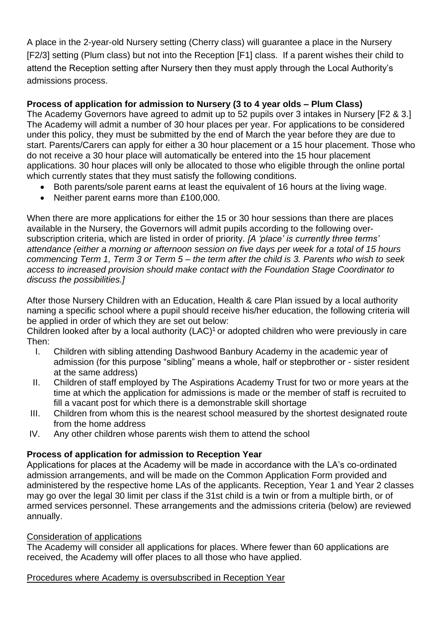A place in the 2-year-old Nursery setting (Cherry class) will guarantee a place in the Nursery [F2/3] setting (Plum class) but not into the Reception [F1] class. If a parent wishes their child to attend the Reception setting after Nursery then they must apply through the Local Authority's admissions process.

## **Process of application for admission to Nursery (3 to 4 year olds – Plum Class)**

The Academy Governors have agreed to admit up to 52 pupils over 3 intakes in Nursery [F2 & 3.] The Academy will admit a number of 30 hour places per year. For applications to be considered under this policy, they must be submitted by the end of March the year before they are due to start. Parents/Carers can apply for either a 30 hour placement or a 15 hour placement. Those who do not receive a 30 hour place will automatically be entered into the 15 hour placement applications. 30 hour places will only be allocated to those who eligible through the online portal which currently states that they must satisfy the following conditions.

- Both parents/sole parent earns at least the equivalent of 16 hours at the living wage.
- Neither parent earns more than £100,000.

When there are more applications for either the 15 or 30 hour sessions than there are places available in the Nursery, the Governors will admit pupils according to the following oversubscription criteria, which are listed in order of priority. *[A 'place' is currently three terms' attendance (either a morning or afternoon session on five days per week for a total of 15 hours commencing Term 1, Term 3 or Term 5 – the term after the child is 3. Parents who wish to seek access to increased provision should make contact with the Foundation Stage Coordinator to discuss the possibilities.]*

After those Nursery Children with an Education, Health & care Plan issued by a local authority naming a specific school where a pupil should receive his/her education, the following criteria will be applied in order of which they are set out below:

Children looked after by a local authority  $(LAC)^1$  or adopted children who were previously in care Then:

- I. Children with sibling attending Dashwood Banbury Academy in the academic year of admission (for this purpose "sibling" means a whole, half or stepbrother or - sister resident at the same address)
- II. Children of staff employed by The Aspirations Academy Trust for two or more years at the time at which the application for admissions is made or the member of staff is recruited to fill a vacant post for which there is a demonstrable skill shortage
- III. Children from whom this is the nearest school measured by the shortest designated route from the home address
- IV. Any other children whose parents wish them to attend the school

## **Process of application for admission to Reception Year**

Applications for places at the Academy will be made in accordance with the LA's co-ordinated admission arrangements, and will be made on the Common Application Form provided and administered by the respective home LAs of the applicants. Reception, Year 1 and Year 2 classes may go over the legal 30 limit per class if the 31st child is a twin or from a multiple birth, or of armed services personnel. These arrangements and the admissions criteria (below) are reviewed annually.

## Consideration of applications

The Academy will consider all applications for places. Where fewer than 60 applications are received, the Academy will offer places to all those who have applied.

## Procedures where Academy is oversubscribed in Reception Year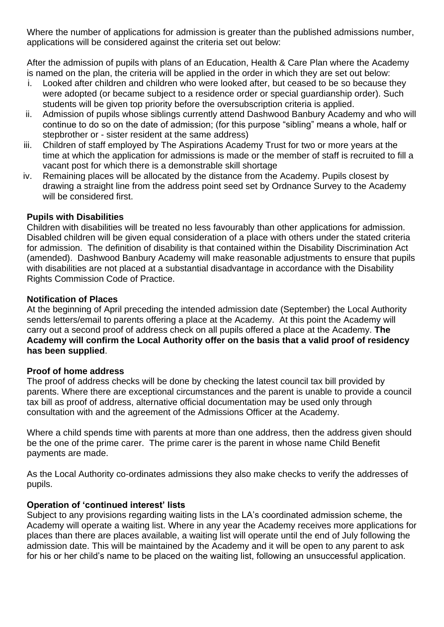Where the number of applications for admission is greater than the published admissions number, applications will be considered against the criteria set out below:

After the admission of pupils with plans of an Education, Health & Care Plan where the Academy is named on the plan, the criteria will be applied in the order in which they are set out below:

- i. Looked after children and children who were looked after, but ceased to be so because they were adopted (or became subject to a residence order or special guardianship order). Such students will be given top priority before the oversubscription criteria is applied.
- ii. Admission of pupils whose siblings currently attend Dashwood Banbury Academy and who will continue to do so on the date of admission; (for this purpose "sibling" means a whole, half or stepbrother or - sister resident at the same address)
- iii. Children of staff employed by The Aspirations Academy Trust for two or more years at the time at which the application for admissions is made or the member of staff is recruited to fill a vacant post for which there is a demonstrable skill shortage
- iv. Remaining places will be allocated by the distance from the Academy. Pupils closest by drawing a straight line from the address point seed set by Ordnance Survey to the Academy will be considered first.

## **Pupils with Disabilities**

Children with disabilities will be treated no less favourably than other applications for admission. Disabled children will be given equal consideration of a place with others under the stated criteria for admission. The definition of disability is that contained within the Disability Discrimination Act (amended). Dashwood Banbury Academy will make reasonable adjustments to ensure that pupils with disabilities are not placed at a substantial disadvantage in accordance with the Disability Rights Commission Code of Practice.

## **Notification of Places**

At the beginning of April preceding the intended admission date (September) the Local Authority sends letters/email to parents offering a place at the Academy. At this point the Academy will carry out a second proof of address check on all pupils offered a place at the Academy. **The Academy will confirm the Local Authority offer on the basis that a valid proof of residency has been supplied**.

## **Proof of home address**

The proof of address checks will be done by checking the latest council tax bill provided by parents. Where there are exceptional circumstances and the parent is unable to provide a council tax bill as proof of address, alternative official documentation may be used only through consultation with and the agreement of the Admissions Officer at the Academy.

Where a child spends time with parents at more than one address, then the address given should be the one of the prime carer. The prime carer is the parent in whose name Child Benefit payments are made.

As the Local Authority co-ordinates admissions they also make checks to verify the addresses of pupils.

## **Operation of 'continued interest' lists**

Subject to any provisions regarding waiting lists in the LA's coordinated admission scheme, the Academy will operate a waiting list. Where in any year the Academy receives more applications for places than there are places available, a waiting list will operate until the end of July following the admission date. This will be maintained by the Academy and it will be open to any parent to ask for his or her child's name to be placed on the waiting list, following an unsuccessful application.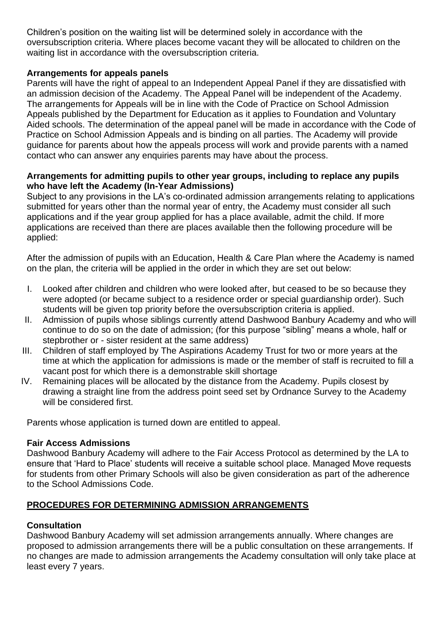Children's position on the waiting list will be determined solely in accordance with the oversubscription criteria. Where places become vacant they will be allocated to children on the waiting list in accordance with the oversubscription criteria.

## **Arrangements for appeals panels**

Parents will have the right of appeal to an Independent Appeal Panel if they are dissatisfied with an admission decision of the Academy. The Appeal Panel will be independent of the Academy. The arrangements for Appeals will be in line with the Code of Practice on School Admission Appeals published by the Department for Education as it applies to Foundation and Voluntary Aided schools. The determination of the appeal panel will be made in accordance with the Code of Practice on School Admission Appeals and is binding on all parties. The Academy will provide guidance for parents about how the appeals process will work and provide parents with a named contact who can answer any enquiries parents may have about the process.

#### **Arrangements for admitting pupils to other year groups, including to replace any pupils who have left the Academy (In-Year Admissions)**

Subject to any provisions in the LA's co-ordinated admission arrangements relating to applications submitted for years other than the normal year of entry, the Academy must consider all such applications and if the year group applied for has a place available, admit the child. If more applications are received than there are places available then the following procedure will be applied:

After the admission of pupils with an Education, Health & Care Plan where the Academy is named on the plan, the criteria will be applied in the order in which they are set out below:

- I. Looked after children and children who were looked after, but ceased to be so because they were adopted (or became subject to a residence order or special guardianship order). Such students will be given top priority before the oversubscription criteria is applied.
- II. Admission of pupils whose siblings currently attend Dashwood Banbury Academy and who will continue to do so on the date of admission; (for this purpose "sibling" means a whole, half or stepbrother or - sister resident at the same address)
- III. Children of staff employed by The Aspirations Academy Trust for two or more years at the time at which the application for admissions is made or the member of staff is recruited to fill a vacant post for which there is a demonstrable skill shortage
- IV. Remaining places will be allocated by the distance from the Academy. Pupils closest by drawing a straight line from the address point seed set by Ordnance Survey to the Academy will be considered first.

Parents whose application is turned down are entitled to appeal.

## **Fair Access Admissions**

Dashwood Banbury Academy will adhere to the Fair Access Protocol as determined by the LA to ensure that 'Hard to Place' students will receive a suitable school place. Managed Move requests for students from other Primary Schools will also be given consideration as part of the adherence to the School Admissions Code.

## **PROCEDURES FOR DETERMINING ADMISSION ARRANGEMENTS**

## **Consultation**

Dashwood Banbury Academy will set admission arrangements annually. Where changes are proposed to admission arrangements there will be a public consultation on these arrangements. If no changes are made to admission arrangements the Academy consultation will only take place at least every 7 years.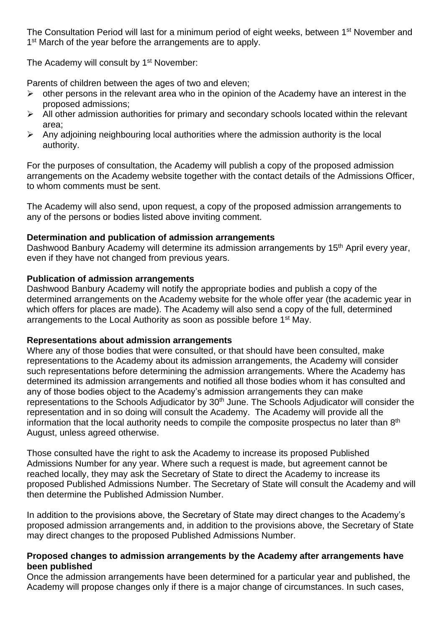The Consultation Period will last for a minimum period of eight weeks, between 1<sup>st</sup> November and 1<sup>st</sup> March of the year before the arrangements are to apply.

The Academy will consult by 1<sup>st</sup> November:

Parents of children between the ages of two and eleven;

- $\triangleright$  other persons in the relevant area who in the opinion of the Academy have an interest in the proposed admissions;
- $\triangleright$  All other admission authorities for primary and secondary schools located within the relevant area;
- $\triangleright$  Any adjoining neighbouring local authorities where the admission authority is the local authority.

For the purposes of consultation, the Academy will publish a copy of the proposed admission arrangements on the Academy website together with the contact details of the Admissions Officer, to whom comments must be sent.

The Academy will also send, upon request, a copy of the proposed admission arrangements to any of the persons or bodies listed above inviting comment.

#### **Determination and publication of admission arrangements**

Dashwood Banbury Academy will determine its admission arrangements by 15<sup>th</sup> April every vear, even if they have not changed from previous years.

#### **Publication of admission arrangements**

Dashwood Banbury Academy will notify the appropriate bodies and publish a copy of the determined arrangements on the Academy website for the whole offer year (the academic year in which offers for places are made). The Academy will also send a copy of the full, determined arrangements to the Local Authority as soon as possible before 1<sup>st</sup> May.

#### **Representations about admission arrangements**

Where any of those bodies that were consulted, or that should have been consulted, make representations to the Academy about its admission arrangements, the Academy will consider such representations before determining the admission arrangements. Where the Academy has determined its admission arrangements and notified all those bodies whom it has consulted and any of those bodies object to the Academy's admission arrangements they can make representations to the Schools Adjudicator by 30<sup>th</sup> June. The Schools Adjudicator will consider the representation and in so doing will consult the Academy. The Academy will provide all the information that the local authority needs to compile the composite prospectus no later than 8<sup>th</sup> August, unless agreed otherwise.

Those consulted have the right to ask the Academy to increase its proposed Published Admissions Number for any year. Where such a request is made, but agreement cannot be reached locally, they may ask the Secretary of State to direct the Academy to increase its proposed Published Admissions Number. The Secretary of State will consult the Academy and will then determine the Published Admission Number.

In addition to the provisions above, the Secretary of State may direct changes to the Academy's proposed admission arrangements and, in addition to the provisions above, the Secretary of State may direct changes to the proposed Published Admissions Number.

#### **Proposed changes to admission arrangements by the Academy after arrangements have been published**

Once the admission arrangements have been determined for a particular year and published, the Academy will propose changes only if there is a major change of circumstances. In such cases,